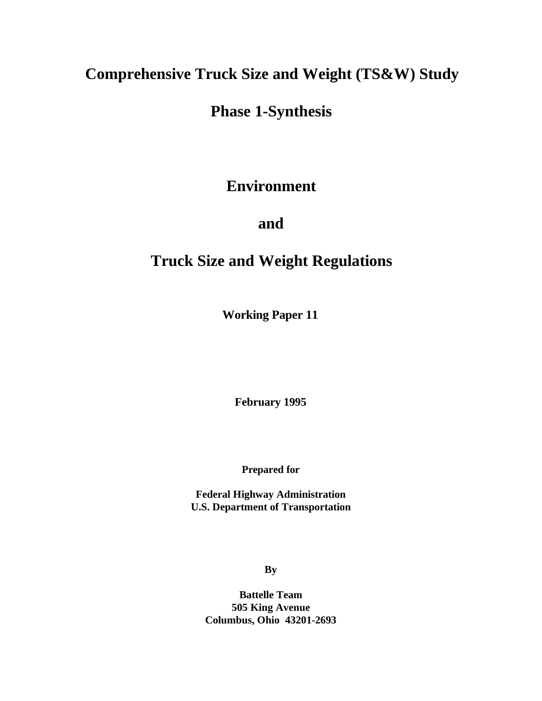# **Comprehensive Truck Size and Weight (TS&W) Study**

# **Phase 1-Synthesis**

# **Environment**

# **and**

# **Truck Size and Weight Regulations**

**Working Paper 11**

**February 1995**

**Prepared for**

**Federal Highway Administration U.S. Department of Transportation**

**By**

**Battelle Team 505 King Avenue Columbus, Ohio 43201-2693**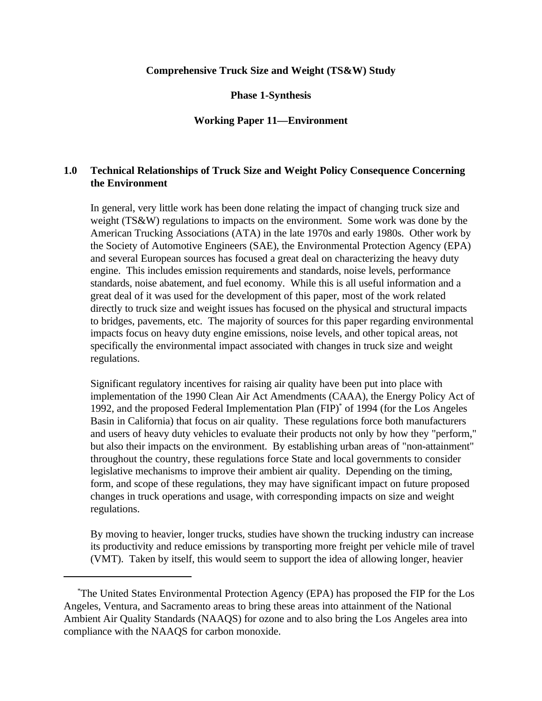# **Comprehensive Truck Size and Weight (TS&W) Study**

**Phase 1-Synthesis**

# **Working Paper 11—Environment**

# **1.0 Technical Relationships of Truck Size and Weight Policy Consequence Concerning the Environment**

In general, very little work has been done relating the impact of changing truck size and weight (TS&W) regulations to impacts on the environment. Some work was done by the American Trucking Associations (ATA) in the late 1970s and early 1980s. Other work by the Society of Automotive Engineers (SAE), the Environmental Protection Agency (EPA) and several European sources has focused a great deal on characterizing the heavy duty engine. This includes emission requirements and standards, noise levels, performance standards, noise abatement, and fuel economy. While this is all useful information and a great deal of it was used for the development of this paper, most of the work related directly to truck size and weight issues has focused on the physical and structural impacts to bridges, pavements, etc. The majority of sources for this paper regarding environmental impacts focus on heavy duty engine emissions, noise levels, and other topical areas, not specifically the environmental impact associated with changes in truck size and weight regulations.

Significant regulatory incentives for raising air quality have been put into place with implementation of the 1990 Clean Air Act Amendments (CAAA), the Energy Policy Act of 1992, and the proposed Federal Implementation Plan  $(FIP)^*$  of 1994 (for the Los Angeles Basin in California) that focus on air quality. These regulations force both manufacturers and users of heavy duty vehicles to evaluate their products not only by how they "perform," but also their impacts on the environment. By establishing urban areas of "non-attainment" throughout the country, these regulations force State and local governments to consider legislative mechanisms to improve their ambient air quality. Depending on the timing, form, and scope of these regulations, they may have significant impact on future proposed changes in truck operations and usage, with corresponding impacts on size and weight regulations.

By moving to heavier, longer trucks, studies have shown the trucking industry can increase its productivity and reduce emissions by transporting more freight per vehicle mile of travel (VMT). Taken by itself, this would seem to support the idea of allowing longer, heavier

The United States Environmental Protection Agency (EPA) has proposed the FIP for the Los \* Angeles, Ventura, and Sacramento areas to bring these areas into attainment of the National Ambient Air Quality Standards (NAAQS) for ozone and to also bring the Los Angeles area into compliance with the NAAQS for carbon monoxide.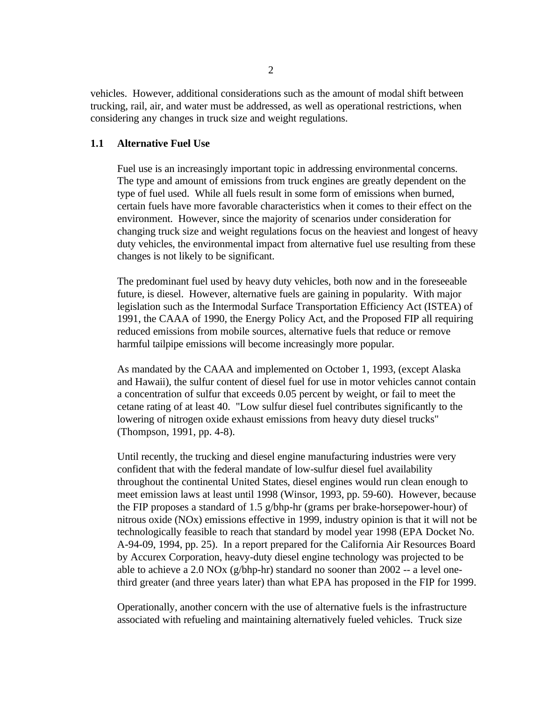vehicles. However, additional considerations such as the amount of modal shift between trucking, rail, air, and water must be addressed, as well as operational restrictions, when considering any changes in truck size and weight regulations.

### **1.1 Alternative Fuel Use**

Fuel use is an increasingly important topic in addressing environmental concerns. The type and amount of emissions from truck engines are greatly dependent on the type of fuel used. While all fuels result in some form of emissions when burned, certain fuels have more favorable characteristics when it comes to their effect on the environment. However, since the majority of scenarios under consideration for changing truck size and weight regulations focus on the heaviest and longest of heavy duty vehicles, the environmental impact from alternative fuel use resulting from these changes is not likely to be significant.

The predominant fuel used by heavy duty vehicles, both now and in the foreseeable future, is diesel. However, alternative fuels are gaining in popularity. With major legislation such as the Intermodal Surface Transportation Efficiency Act (ISTEA) of 1991, the CAAA of 1990, the Energy Policy Act, and the Proposed FIP all requiring reduced emissions from mobile sources, alternative fuels that reduce or remove harmful tailpipe emissions will become increasingly more popular.

As mandated by the CAAA and implemented on October 1, 1993, (except Alaska and Hawaii), the sulfur content of diesel fuel for use in motor vehicles cannot contain a concentration of sulfur that exceeds 0.05 percent by weight, or fail to meet the cetane rating of at least 40. "Low sulfur diesel fuel contributes significantly to the lowering of nitrogen oxide exhaust emissions from heavy duty diesel trucks" (Thompson, 1991, pp. 4-8).

Until recently, the trucking and diesel engine manufacturing industries were very confident that with the federal mandate of low-sulfur diesel fuel availability throughout the continental United States, diesel engines would run clean enough to meet emission laws at least until 1998 (Winsor, 1993, pp. 59-60). However, because the FIP proposes a standard of 1.5 g/bhp-hr (grams per brake-horsepower-hour) of nitrous oxide (NOx) emissions effective in 1999, industry opinion is that it will not be technologically feasible to reach that standard by model year 1998 (EPA Docket No. A-94-09, 1994, pp. 25). In a report prepared for the California Air Resources Board by Accurex Corporation, heavy-duty diesel engine technology was projected to be able to achieve a 2.0 NOx (g/bhp-hr) standard no sooner than 2002 -- a level onethird greater (and three years later) than what EPA has proposed in the FIP for 1999.

Operationally, another concern with the use of alternative fuels is the infrastructure associated with refueling and maintaining alternatively fueled vehicles. Truck size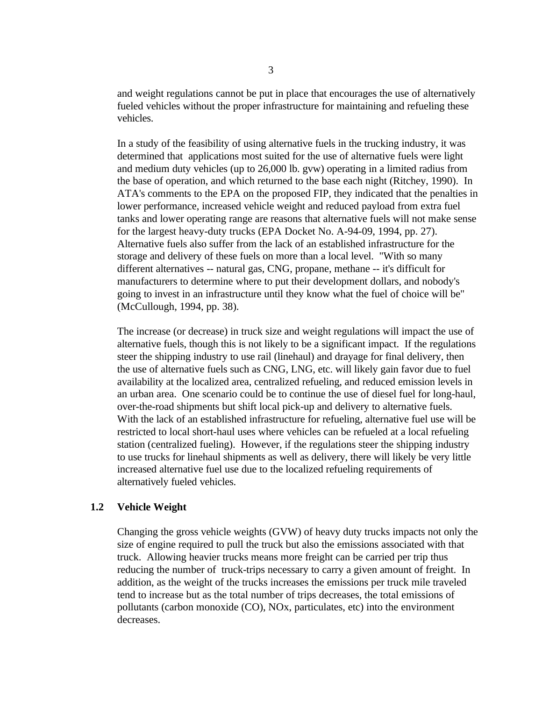and weight regulations cannot be put in place that encourages the use of alternatively fueled vehicles without the proper infrastructure for maintaining and refueling these vehicles.

In a study of the feasibility of using alternative fuels in the trucking industry, it was determined that applications most suited for the use of alternative fuels were light and medium duty vehicles (up to 26,000 lb. gvw) operating in a limited radius from the base of operation, and which returned to the base each night (Ritchey, 1990). In ATA's comments to the EPA on the proposed FIP, they indicated that the penalties in lower performance, increased vehicle weight and reduced payload from extra fuel tanks and lower operating range are reasons that alternative fuels will not make sense for the largest heavy-duty trucks (EPA Docket No. A-94-09, 1994, pp. 27). Alternative fuels also suffer from the lack of an established infrastructure for the storage and delivery of these fuels on more than a local level. "With so many different alternatives -- natural gas, CNG, propane, methane -- it's difficult for manufacturers to determine where to put their development dollars, and nobody's going to invest in an infrastructure until they know what the fuel of choice will be" (McCullough, 1994, pp. 38).

The increase (or decrease) in truck size and weight regulations will impact the use of alternative fuels, though this is not likely to be a significant impact. If the regulations steer the shipping industry to use rail (linehaul) and drayage for final delivery, then the use of alternative fuels such as CNG, LNG, etc. will likely gain favor due to fuel availability at the localized area, centralized refueling, and reduced emission levels in an urban area. One scenario could be to continue the use of diesel fuel for long-haul, over-the-road shipments but shift local pick-up and delivery to alternative fuels. With the lack of an established infrastructure for refueling, alternative fuel use will be restricted to local short-haul uses where vehicles can be refueled at a local refueling station (centralized fueling). However, if the regulations steer the shipping industry to use trucks for linehaul shipments as well as delivery, there will likely be very little increased alternative fuel use due to the localized refueling requirements of alternatively fueled vehicles.

#### **1.2 Vehicle Weight**

Changing the gross vehicle weights (GVW) of heavy duty trucks impacts not only the size of engine required to pull the truck but also the emissions associated with that truck. Allowing heavier trucks means more freight can be carried per trip thus reducing the number of truck-trips necessary to carry a given amount of freight. In addition, as the weight of the trucks increases the emissions per truck mile traveled tend to increase but as the total number of trips decreases, the total emissions of pollutants (carbon monoxide (CO), NOx, particulates, etc) into the environment decreases.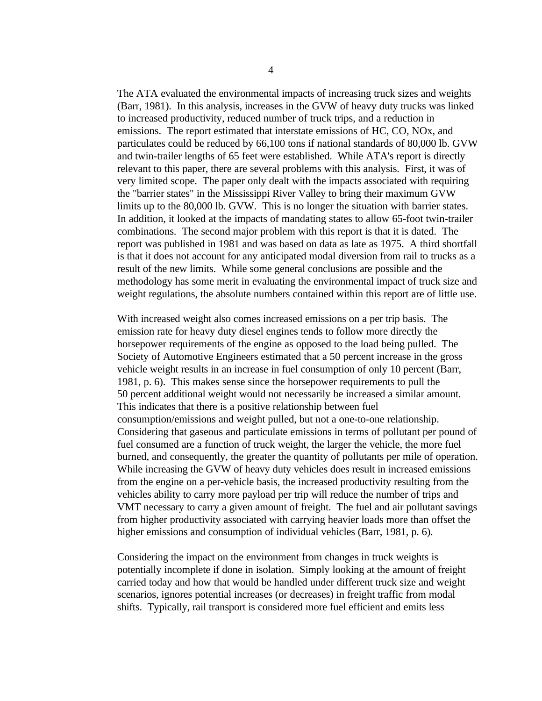The ATA evaluated the environmental impacts of increasing truck sizes and weights (Barr, 1981). In this analysis, increases in the GVW of heavy duty trucks was linked to increased productivity, reduced number of truck trips, and a reduction in emissions. The report estimated that interstate emissions of HC, CO, NOx, and particulates could be reduced by 66,100 tons if national standards of 80,000 lb. GVW and twin-trailer lengths of 65 feet were established. While ATA's report is directly relevant to this paper, there are several problems with this analysis. First, it was of very limited scope. The paper only dealt with the impacts associated with requiring the "barrier states" in the Mississippi River Valley to bring their maximum GVW limits up to the 80,000 lb. GVW. This is no longer the situation with barrier states. In addition, it looked at the impacts of mandating states to allow 65-foot twin-trailer combinations. The second major problem with this report is that it is dated. The report was published in 1981 and was based on data as late as 1975. A third shortfall is that it does not account for any anticipated modal diversion from rail to trucks as a result of the new limits. While some general conclusions are possible and the methodology has some merit in evaluating the environmental impact of truck size and weight regulations, the absolute numbers contained within this report are of little use.

With increased weight also comes increased emissions on a per trip basis. The emission rate for heavy duty diesel engines tends to follow more directly the horsepower requirements of the engine as opposed to the load being pulled. The Society of Automotive Engineers estimated that a 50 percent increase in the gross vehicle weight results in an increase in fuel consumption of only 10 percent (Barr, 1981, p. 6). This makes sense since the horsepower requirements to pull the 50 percent additional weight would not necessarily be increased a similar amount. This indicates that there is a positive relationship between fuel consumption/emissions and weight pulled, but not a one-to-one relationship. Considering that gaseous and particulate emissions in terms of pollutant per pound of fuel consumed are a function of truck weight, the larger the vehicle, the more fuel burned, and consequently, the greater the quantity of pollutants per mile of operation. While increasing the GVW of heavy duty vehicles does result in increased emissions from the engine on a per-vehicle basis, the increased productivity resulting from the vehicles ability to carry more payload per trip will reduce the number of trips and VMT necessary to carry a given amount of freight. The fuel and air pollutant savings from higher productivity associated with carrying heavier loads more than offset the higher emissions and consumption of individual vehicles (Barr, 1981, p. 6).

Considering the impact on the environment from changes in truck weights is potentially incomplete if done in isolation. Simply looking at the amount of freight carried today and how that would be handled under different truck size and weight scenarios, ignores potential increases (or decreases) in freight traffic from modal shifts. Typically, rail transport is considered more fuel efficient and emits less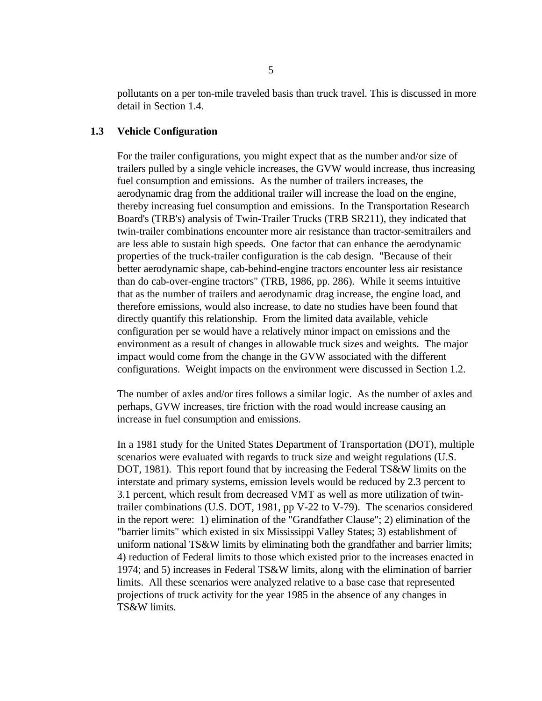pollutants on a per ton-mile traveled basis than truck travel. This is discussed in more detail in Section 1.4.

#### **1.3 Vehicle Configuration**

For the trailer configurations, you might expect that as the number and/or size of trailers pulled by a single vehicle increases, the GVW would increase, thus increasing fuel consumption and emissions. As the number of trailers increases, the aerodynamic drag from the additional trailer will increase the load on the engine, thereby increasing fuel consumption and emissions. In the Transportation Research Board's (TRB's) analysis of Twin-Trailer Trucks (TRB SR211), they indicated that twin-trailer combinations encounter more air resistance than tractor-semitrailers and are less able to sustain high speeds. One factor that can enhance the aerodynamic properties of the truck-trailer configuration is the cab design. "Because of their better aerodynamic shape, cab-behind-engine tractors encounter less air resistance than do cab-over-engine tractors" (TRB, 1986, pp. 286). While it seems intuitive that as the number of trailers and aerodynamic drag increase, the engine load, and therefore emissions, would also increase, to date no studies have been found that directly quantify this relationship. From the limited data available, vehicle configuration per se would have a relatively minor impact on emissions and the environment as a result of changes in allowable truck sizes and weights. The major impact would come from the change in the GVW associated with the different configurations. Weight impacts on the environment were discussed in Section 1.2.

The number of axles and/or tires follows a similar logic. As the number of axles and perhaps, GVW increases, tire friction with the road would increase causing an increase in fuel consumption and emissions.

In a 1981 study for the United States Department of Transportation (DOT), multiple scenarios were evaluated with regards to truck size and weight regulations (U.S. DOT, 1981). This report found that by increasing the Federal TS&W limits on the interstate and primary systems, emission levels would be reduced by 2.3 percent to 3.1 percent, which result from decreased VMT as well as more utilization of twintrailer combinations (U.S. DOT, 1981, pp V-22 to V-79). The scenarios considered in the report were: 1) elimination of the "Grandfather Clause"; 2) elimination of the "barrier limits" which existed in six Mississippi Valley States; 3) establishment of uniform national TS&W limits by eliminating both the grandfather and barrier limits; 4) reduction of Federal limits to those which existed prior to the increases enacted in 1974; and 5) increases in Federal TS&W limits, along with the elimination of barrier limits. All these scenarios were analyzed relative to a base case that represented projections of truck activity for the year 1985 in the absence of any changes in TS&W limits.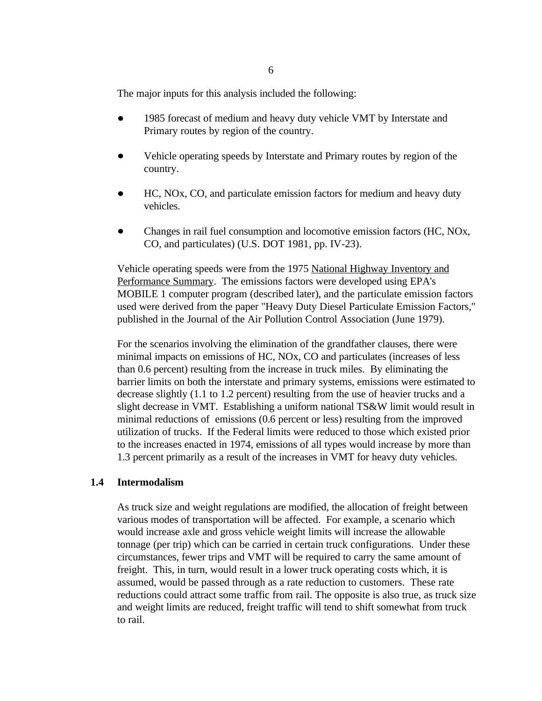The major inputs for this analysis included the following:

- $\bullet$ 1985 forecast of medium and heavy duty vehicle VMT by Interstate and Primary routes by region of the country.
- Vehicle operating speeds by Interstate and Primary routes by region of the country.
- HC, NOx, CO, and particulate emission factors for medium and heavy duty vehicles.
- $\bullet$ Changes in rail fuel consumption and locomotive emission factors (HC, NOx, CO, and particulates) (U.S. DOT 1981, pp. IV-23).

Vehicle operating speeds were from the 1975 National Highway Inventory and Performance Summary. The emissions factors were developed using EPA's MOBILE 1 computer program (described later), and the particulate emission factors used were derived from the paper "Heavy Duty Diesel Particulate Emission Factors," published in the Journal of the Air Pollution Control Association (June 1979).

For the scenarios involving the elimination of the grandfather clauses, there were minimal impacts on emissions of HC, NOx, CO and particulates (increases of less than 0.6 percent) resulting from the increase in truck miles. By eliminating the barrier limits on both the interstate and primary systems, emissions were estimated to decrease slightly (1.1 to 1.2 percent) resulting from the use of heavier trucks and a slight decrease in VMT. Establishing a uniform national TS&W limit would result in minimal reductions of emissions (0.6 percent or less) resulting from the improved utilization of trucks. If the Federal limits were reduced to those which existed prior to the increases enacted in 1974, emissions of all types would increase by more than 1.3 percent primarily as a result of the increases in VMT for heavy duty vehicles.

## **1.4 Intermodalism**

As truck size and weight regulations are modified, the allocation of freight between various modes of transportation will be affected. For example, a scenario which would increase axle and gross vehicle weight limits will increase the allowable tonnage (per trip) which can be carried in certain truck configurations. Under these circumstances, fewer trips and VMT will be required to carry the same amount of freight. This, in turn, would result in a lower truck operating costs which, it is assumed, would be passed through as a rate reduction to customers. These rate reductions could attract some traffic from rail. The opposite is also true, as truck size and weight limits are reduced, freight traffic will tend to shift somewhat from truck to rail.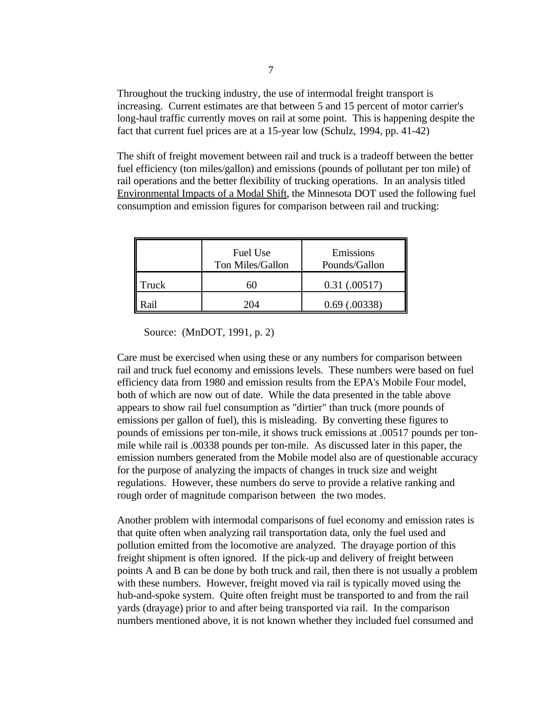Throughout the trucking industry, the use of intermodal freight transport is increasing. Current estimates are that between 5 and 15 percent of motor carrier's long-haul traffic currently moves on rail at some point. This is happening despite the fact that current fuel prices are at a 15-year low (Schulz, 1994, pp. 41-42)

The shift of freight movement between rail and truck is a tradeoff between the better fuel efficiency (ton miles/gallon) and emissions (pounds of pollutant per ton mile) of rail operations and the better flexibility of trucking operations. In an analysis titled Environmental Impacts of a Modal Shift, the Minnesota DOT used the following fuel consumption and emission figures for comparison between rail and trucking:

|       | Fuel Use<br>Ton Miles/Gallon | Emissions<br>Pounds/Gallon |
|-------|------------------------------|----------------------------|
| Truck |                              | $0.31 \; (0.00517)$        |
|       | 20 M                         | $0.69$ $(.00338)$          |

Source: (MnDOT, 1991, p. 2)

Care must be exercised when using these or any numbers for comparison between rail and truck fuel economy and emissions levels. These numbers were based on fuel efficiency data from 1980 and emission results from the EPA's Mobile Four model, both of which are now out of date. While the data presented in the table above appears to show rail fuel consumption as "dirtier" than truck (more pounds of emissions per gallon of fuel), this is misleading. By converting these figures to pounds of emissions per ton-mile, it shows truck emissions at .00517 pounds per tonmile while rail is .00338 pounds per ton-mile. As discussed later in this paper, the emission numbers generated from the Mobile model also are of questionable accuracy for the purpose of analyzing the impacts of changes in truck size and weight regulations. However, these numbers do serve to provide a relative ranking and rough order of magnitude comparison between the two modes.

Another problem with intermodal comparisons of fuel economy and emission rates is that quite often when analyzing rail transportation data, only the fuel used and pollution emitted from the locomotive are analyzed. The drayage portion of this freight shipment is often ignored. If the pick-up and delivery of freight between points A and B can be done by both truck and rail, then there is not usually a problem with these numbers. However, freight moved via rail is typically moved using the hub-and-spoke system. Quite often freight must be transported to and from the rail yards (drayage) prior to and after being transported via rail. In the comparison numbers mentioned above, it is not known whether they included fuel consumed and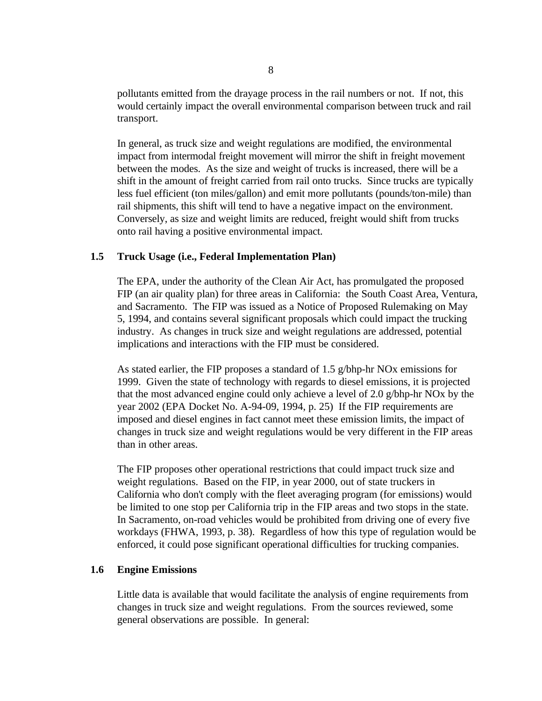pollutants emitted from the drayage process in the rail numbers or not. If not, this would certainly impact the overall environmental comparison between truck and rail transport.

In general, as truck size and weight regulations are modified, the environmental impact from intermodal freight movement will mirror the shift in freight movement between the modes. As the size and weight of trucks is increased, there will be a shift in the amount of freight carried from rail onto trucks. Since trucks are typically less fuel efficient (ton miles/gallon) and emit more pollutants (pounds/ton-mile) than rail shipments, this shift will tend to have a negative impact on the environment. Conversely, as size and weight limits are reduced, freight would shift from trucks onto rail having a positive environmental impact.

# **1.5 Truck Usage (i.e., Federal Implementation Plan)**

The EPA, under the authority of the Clean Air Act, has promulgated the proposed FIP (an air quality plan) for three areas in California: the South Coast Area, Ventura, and Sacramento. The FIP was issued as a Notice of Proposed Rulemaking on May 5, 1994, and contains several significant proposals which could impact the trucking industry. As changes in truck size and weight regulations are addressed, potential implications and interactions with the FIP must be considered.

As stated earlier, the FIP proposes a standard of 1.5 g/bhp-hr NOx emissions for 1999. Given the state of technology with regards to diesel emissions, it is projected that the most advanced engine could only achieve a level of 2.0 g/bhp-hr NOx by the year 2002 (EPA Docket No. A-94-09, 1994, p. 25) If the FIP requirements are imposed and diesel engines in fact cannot meet these emission limits, the impact of changes in truck size and weight regulations would be very different in the FIP areas than in other areas.

The FIP proposes other operational restrictions that could impact truck size and weight regulations. Based on the FIP, in year 2000, out of state truckers in California who don't comply with the fleet averaging program (for emissions) would be limited to one stop per California trip in the FIP areas and two stops in the state. In Sacramento, on-road vehicles would be prohibited from driving one of every five workdays (FHWA, 1993, p. 38). Regardless of how this type of regulation would be enforced, it could pose significant operational difficulties for trucking companies.

#### **1.6 Engine Emissions**

Little data is available that would facilitate the analysis of engine requirements from changes in truck size and weight regulations. From the sources reviewed, some general observations are possible. In general: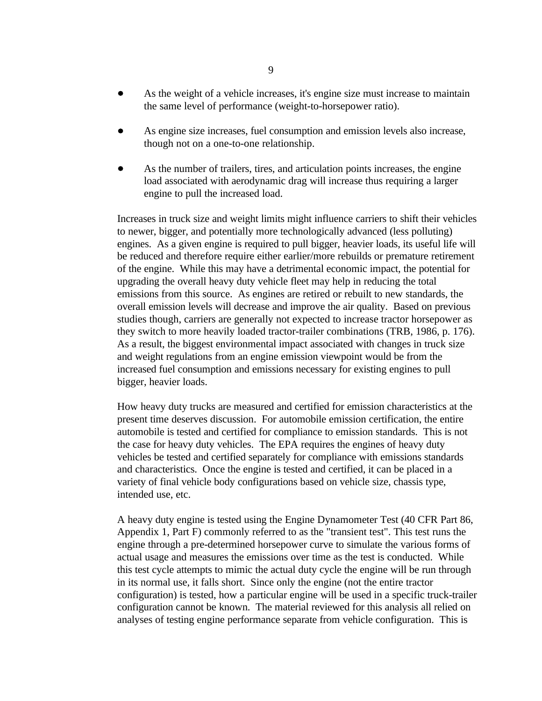- As the weight of a vehicle increases, it's engine size must increase to maintain the same level of performance (weight-to-horsepower ratio).
- As engine size increases, fuel consumption and emission levels also increase,  $\bullet$ though not on a one-to-one relationship.
- As the number of trailers, tires, and articulation points increases, the engine  $\bullet$ load associated with aerodynamic drag will increase thus requiring a larger engine to pull the increased load.

Increases in truck size and weight limits might influence carriers to shift their vehicles to newer, bigger, and potentially more technologically advanced (less polluting) engines. As a given engine is required to pull bigger, heavier loads, its useful life will be reduced and therefore require either earlier/more rebuilds or premature retirement of the engine. While this may have a detrimental economic impact, the potential for upgrading the overall heavy duty vehicle fleet may help in reducing the total emissions from this source. As engines are retired or rebuilt to new standards, the overall emission levels will decrease and improve the air quality. Based on previous studies though, carriers are generally not expected to increase tractor horsepower as they switch to more heavily loaded tractor-trailer combinations (TRB, 1986, p. 176). As a result, the biggest environmental impact associated with changes in truck size and weight regulations from an engine emission viewpoint would be from the increased fuel consumption and emissions necessary for existing engines to pull bigger, heavier loads.

How heavy duty trucks are measured and certified for emission characteristics at the present time deserves discussion. For automobile emission certification, the entire automobile is tested and certified for compliance to emission standards. This is not the case for heavy duty vehicles. The EPA requires the engines of heavy duty vehicles be tested and certified separately for compliance with emissions standards and characteristics. Once the engine is tested and certified, it can be placed in a variety of final vehicle body configurations based on vehicle size, chassis type, intended use, etc.

A heavy duty engine is tested using the Engine Dynamometer Test (40 CFR Part 86, Appendix 1, Part F) commonly referred to as the "transient test". This test runs the engine through a pre-determined horsepower curve to simulate the various forms of actual usage and measures the emissions over time as the test is conducted. While this test cycle attempts to mimic the actual duty cycle the engine will be run through in its normal use, it falls short. Since only the engine (not the entire tractor configuration) is tested, how a particular engine will be used in a specific truck-trailer configuration cannot be known. The material reviewed for this analysis all relied on analyses of testing engine performance separate from vehicle configuration. This is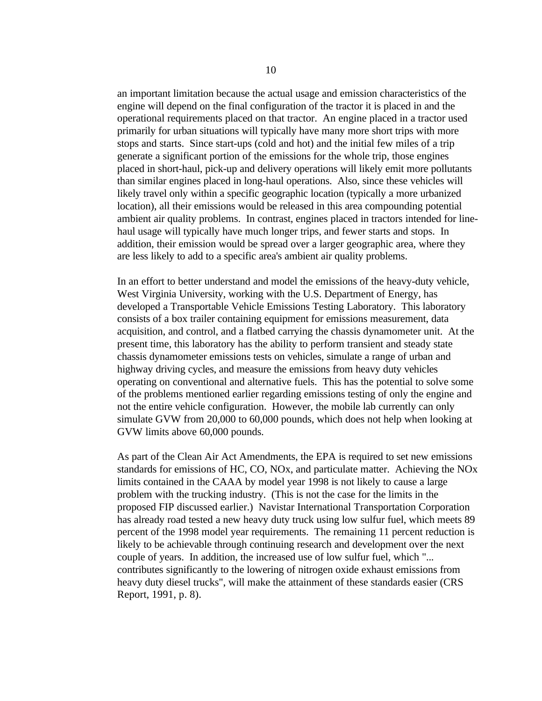an important limitation because the actual usage and emission characteristics of the engine will depend on the final configuration of the tractor it is placed in and the operational requirements placed on that tractor. An engine placed in a tractor used primarily for urban situations will typically have many more short trips with more stops and starts. Since start-ups (cold and hot) and the initial few miles of a trip generate a significant portion of the emissions for the whole trip, those engines placed in short-haul, pick-up and delivery operations will likely emit more pollutants than similar engines placed in long-haul operations. Also, since these vehicles will likely travel only within a specific geographic location (typically a more urbanized location), all their emissions would be released in this area compounding potential ambient air quality problems. In contrast, engines placed in tractors intended for linehaul usage will typically have much longer trips, and fewer starts and stops. In addition, their emission would be spread over a larger geographic area, where they are less likely to add to a specific area's ambient air quality problems.

In an effort to better understand and model the emissions of the heavy-duty vehicle, West Virginia University, working with the U.S. Department of Energy, has developed a Transportable Vehicle Emissions Testing Laboratory. This laboratory consists of a box trailer containing equipment for emissions measurement, data acquisition, and control, and a flatbed carrying the chassis dynamometer unit. At the present time, this laboratory has the ability to perform transient and steady state chassis dynamometer emissions tests on vehicles, simulate a range of urban and highway driving cycles, and measure the emissions from heavy duty vehicles operating on conventional and alternative fuels. This has the potential to solve some of the problems mentioned earlier regarding emissions testing of only the engine and not the entire vehicle configuration. However, the mobile lab currently can only simulate GVW from 20,000 to 60,000 pounds, which does not help when looking at GVW limits above 60,000 pounds.

As part of the Clean Air Act Amendments, the EPA is required to set new emissions standards for emissions of HC, CO, NOx, and particulate matter. Achieving the NOx limits contained in the CAAA by model year 1998 is not likely to cause a large problem with the trucking industry. (This is not the case for the limits in the proposed FIP discussed earlier.) Navistar International Transportation Corporation has already road tested a new heavy duty truck using low sulfur fuel, which meets 89 percent of the 1998 model year requirements. The remaining 11 percent reduction is likely to be achievable through continuing research and development over the next couple of years. In addition, the increased use of low sulfur fuel, which "... contributes significantly to the lowering of nitrogen oxide exhaust emissions from heavy duty diesel trucks", will make the attainment of these standards easier (CRS Report, 1991, p. 8).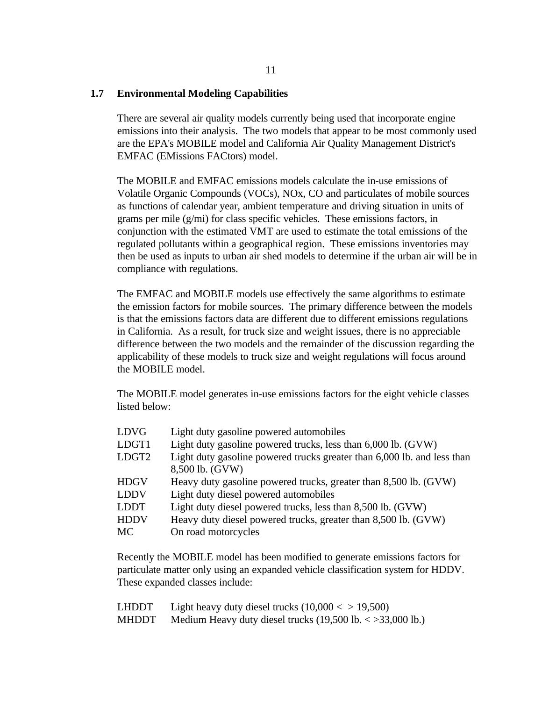# **1.7 Environmental Modeling Capabilities**

There are several air quality models currently being used that incorporate engine emissions into their analysis. The two models that appear to be most commonly used are the EPA's MOBILE model and California Air Quality Management District's EMFAC (EMissions FACtors) model.

The MOBILE and EMFAC emissions models calculate the in-use emissions of Volatile Organic Compounds (VOCs), NOx, CO and particulates of mobile sources as functions of calendar year, ambient temperature and driving situation in units of grams per mile (g/mi) for class specific vehicles. These emissions factors, in conjunction with the estimated VMT are used to estimate the total emissions of the regulated pollutants within a geographical region. These emissions inventories may then be used as inputs to urban air shed models to determine if the urban air will be in compliance with regulations.

The EMFAC and MOBILE models use effectively the same algorithms to estimate the emission factors for mobile sources. The primary difference between the models is that the emissions factors data are different due to different emissions regulations in California. As a result, for truck size and weight issues, there is no appreciable difference between the two models and the remainder of the discussion regarding the applicability of these models to truck size and weight regulations will focus around the MOBILE model.

The MOBILE model generates in-use emissions factors for the eight vehicle classes listed below:

| Light duty gasoline powered automobiles                                 |
|-------------------------------------------------------------------------|
| Light duty gasoline powered trucks, less than 6,000 lb. (GVW)           |
| Light duty gasoline powered trucks greater than 6,000 lb. and less than |
| 8,500 lb. (GVW)                                                         |
| Heavy duty gasoline powered trucks, greater than 8,500 lb. (GVW)        |
| Light duty diesel powered automobiles                                   |
| Light duty diesel powered trucks, less than 8,500 lb. (GVW)             |
| Heavy duty diesel powered trucks, greater than 8,500 lb. (GVW)          |
| On road motorcycles                                                     |
|                                                                         |

Recently the MOBILE model has been modified to generate emissions factors for particulate matter only using an expanded vehicle classification system for HDDV. These expanded classes include:

| LHDDT | Light heavy duty diesel trucks $(10,000 < 19,500)$                          |
|-------|-----------------------------------------------------------------------------|
| MHDDT | Medium Heavy duty diesel trucks $(19,500 \text{ lb.} < 33,000 \text{ lb.})$ |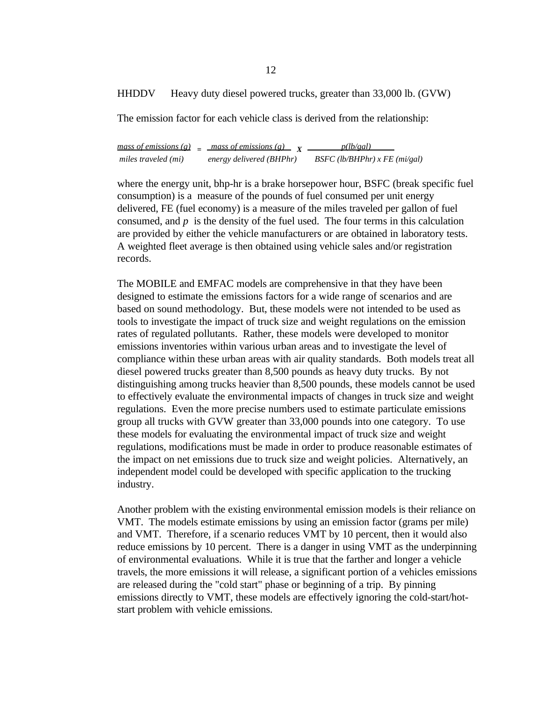HHDDV Heavy duty diesel powered trucks, greater than 33,000 lb. (GVW)

The emission factor for each vehicle class is derived from the relationship:

 $mass of emissions (g) = mass of emissions (g) = \chi$  *miles traveled (mi) energy delivered (BHPhr) BSFC (lb/BHPhr) x FE (mi/gal)*

where the energy unit, bhp-hr is a brake horsepower hour, BSFC (break specific fuel consumption) is a measure of the pounds of fuel consumed per unit energy delivered, FE (fuel economy) is a measure of the miles traveled per gallon of fuel consumed, and  $p$  is the density of the fuel used. The four terms in this calculation are provided by either the vehicle manufacturers or are obtained in laboratory tests. A weighted fleet average is then obtained using vehicle sales and/or registration records.

The MOBILE and EMFAC models are comprehensive in that they have been designed to estimate the emissions factors for a wide range of scenarios and are based on sound methodology. But, these models were not intended to be used as tools to investigate the impact of truck size and weight regulations on the emission rates of regulated pollutants. Rather, these models were developed to monitor emissions inventories within various urban areas and to investigate the level of compliance within these urban areas with air quality standards. Both models treat all diesel powered trucks greater than 8,500 pounds as heavy duty trucks. By not distinguishing among trucks heavier than 8,500 pounds, these models cannot be used to effectively evaluate the environmental impacts of changes in truck size and weight regulations. Even the more precise numbers used to estimate particulate emissions group all trucks with GVW greater than 33,000 pounds into one category. To use these models for evaluating the environmental impact of truck size and weight regulations, modifications must be made in order to produce reasonable estimates of the impact on net emissions due to truck size and weight policies. Alternatively, an independent model could be developed with specific application to the trucking industry.

Another problem with the existing environmental emission models is their reliance on VMT. The models estimate emissions by using an emission factor (grams per mile) and VMT. Therefore, if a scenario reduces VMT by 10 percent, then it would also reduce emissions by 10 percent. There is a danger in using VMT as the underpinning of environmental evaluations. While it is true that the farther and longer a vehicle travels, the more emissions it will release, a significant portion of a vehicles emissions are released during the "cold start" phase or beginning of a trip. By pinning emissions directly to VMT, these models are effectively ignoring the cold-start/hotstart problem with vehicle emissions.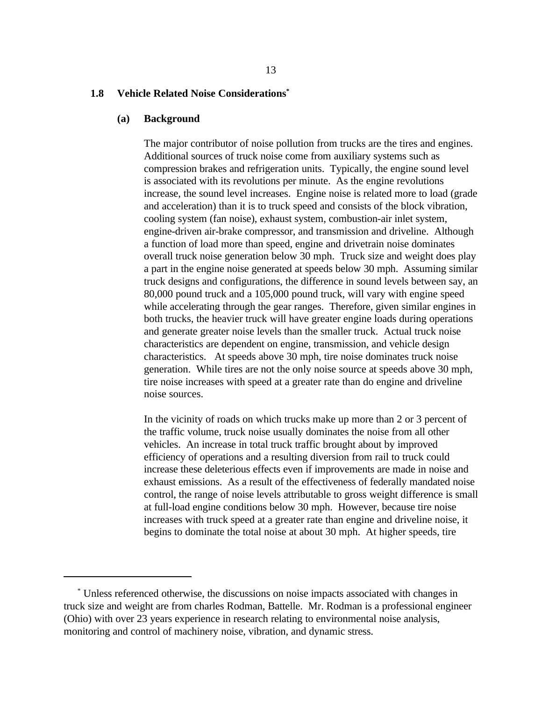### **1.8 Vehicle Related Noise Considerations\***

#### **(a) Background**

The major contributor of noise pollution from trucks are the tires and engines. Additional sources of truck noise come from auxiliary systems such as compression brakes and refrigeration units. Typically, the engine sound level is associated with its revolutions per minute. As the engine revolutions increase, the sound level increases. Engine noise is related more to load (grade and acceleration) than it is to truck speed and consists of the block vibration, cooling system (fan noise), exhaust system, combustion-air inlet system, engine-driven air-brake compressor, and transmission and driveline. Although a function of load more than speed, engine and drivetrain noise dominates overall truck noise generation below 30 mph. Truck size and weight does play a part in the engine noise generated at speeds below 30 mph. Assuming similar truck designs and configurations, the difference in sound levels between say, an 80,000 pound truck and a 105,000 pound truck, will vary with engine speed while accelerating through the gear ranges. Therefore, given similar engines in both trucks, the heavier truck will have greater engine loads during operations and generate greater noise levels than the smaller truck. Actual truck noise characteristics are dependent on engine, transmission, and vehicle design characteristics. At speeds above 30 mph, tire noise dominates truck noise generation. While tires are not the only noise source at speeds above 30 mph, tire noise increases with speed at a greater rate than do engine and driveline noise sources.

In the vicinity of roads on which trucks make up more than 2 or 3 percent of the traffic volume, truck noise usually dominates the noise from all other vehicles. An increase in total truck traffic brought about by improved efficiency of operations and a resulting diversion from rail to truck could increase these deleterious effects even if improvements are made in noise and exhaust emissions. As a result of the effectiveness of federally mandated noise control, the range of noise levels attributable to gross weight difference is small at full-load engine conditions below 30 mph. However, because tire noise increases with truck speed at a greater rate than engine and driveline noise, it begins to dominate the total noise at about 30 mph. At higher speeds, tire

Unless referenced otherwise, the discussions on noise impacts associated with changes in \* truck size and weight are from charles Rodman, Battelle. Mr. Rodman is a professional engineer (Ohio) with over 23 years experience in research relating to environmental noise analysis, monitoring and control of machinery noise, vibration, and dynamic stress.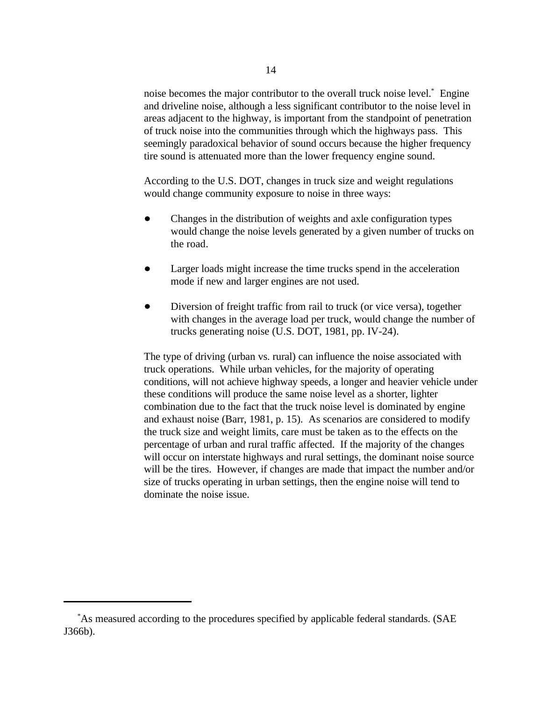noise becomes the major contributor to the overall truck noise level.<sup>\*</sup> Engine and driveline noise, although a less significant contributor to the noise level in areas adjacent to the highway, is important from the standpoint of penetration of truck noise into the communities through which the highways pass. This seemingly paradoxical behavior of sound occurs because the higher frequency tire sound is attenuated more than the lower frequency engine sound.

According to the U.S. DOT, changes in truck size and weight regulations would change community exposure to noise in three ways:

- Changes in the distribution of weights and axle configuration types would change the noise levels generated by a given number of trucks on the road.
- Larger loads might increase the time trucks spend in the acceleration  $\bullet$ mode if new and larger engines are not used.
- $\bullet$ Diversion of freight traffic from rail to truck (or vice versa), together with changes in the average load per truck, would change the number of trucks generating noise (U.S. DOT, 1981, pp. IV-24).

The type of driving (urban vs. rural) can influence the noise associated with truck operations. While urban vehicles, for the majority of operating conditions, will not achieve highway speeds, a longer and heavier vehicle under these conditions will produce the same noise level as a shorter, lighter combination due to the fact that the truck noise level is dominated by engine and exhaust noise (Barr, 1981, p. 15). As scenarios are considered to modify the truck size and weight limits, care must be taken as to the effects on the percentage of urban and rural traffic affected. If the majority of the changes will occur on interstate highways and rural settings, the dominant noise source will be the tires. However, if changes are made that impact the number and/or size of trucks operating in urban settings, then the engine noise will tend to dominate the noise issue.

As measured according to the procedures specified by applicable federal standards. (SAE \* J366b).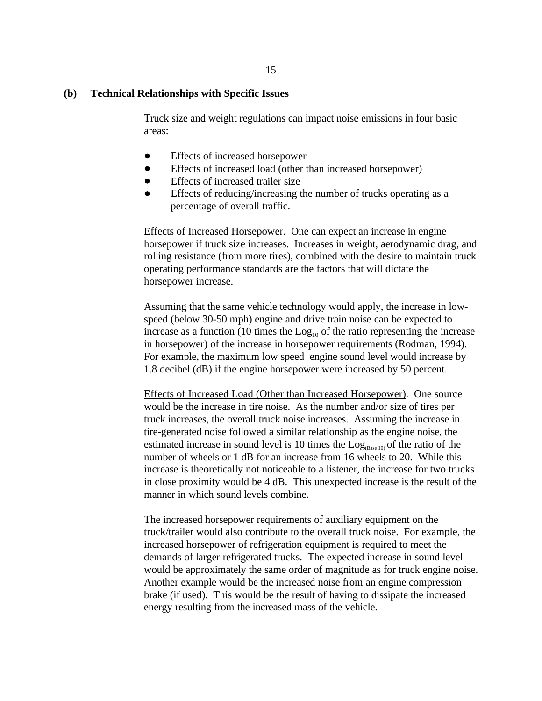## **(b) Technical Relationships with Specific Issues**

Truck size and weight regulations can impact noise emissions in four basic areas:

- Effects of increased horsepower  $\bullet$
- $\bullet$ Effects of increased load (other than increased horsepower)
- Effects of increased trailer size
- $\bullet$ Effects of reducing/increasing the number of trucks operating as a percentage of overall traffic.

Effects of Increased Horsepower. One can expect an increase in engine horsepower if truck size increases. Increases in weight, aerodynamic drag, and rolling resistance (from more tires), combined with the desire to maintain truck operating performance standards are the factors that will dictate the horsepower increase.

Assuming that the same vehicle technology would apply, the increase in lowspeed (below 30-50 mph) engine and drive train noise can be expected to increase as a function (10 times the  $Log<sub>10</sub>$  of the ratio representing the increase in horsepower) of the increase in horsepower requirements (Rodman, 1994). For example, the maximum low speed engine sound level would increase by 1.8 decibel (dB) if the engine horsepower were increased by 50 percent.

Effects of Increased Load (Other than Increased Horsepower). One source would be the increase in tire noise. As the number and/or size of tires per truck increases, the overall truck noise increases. Assuming the increase in tire-generated noise followed a similar relationship as the engine noise, the estimated increase in sound level is 10 times the  $Log_{(Base 10)}$  of the ratio of the number of wheels or 1 dB for an increase from 16 wheels to 20. While this increase is theoretically not noticeable to a listener, the increase for two trucks in close proximity would be 4 dB. This unexpected increase is the result of the manner in which sound levels combine.

The increased horsepower requirements of auxiliary equipment on the truck/trailer would also contribute to the overall truck noise. For example, the increased horsepower of refrigeration equipment is required to meet the demands of larger refrigerated trucks. The expected increase in sound level would be approximately the same order of magnitude as for truck engine noise. Another example would be the increased noise from an engine compression brake (if used). This would be the result of having to dissipate the increased energy resulting from the increased mass of the vehicle.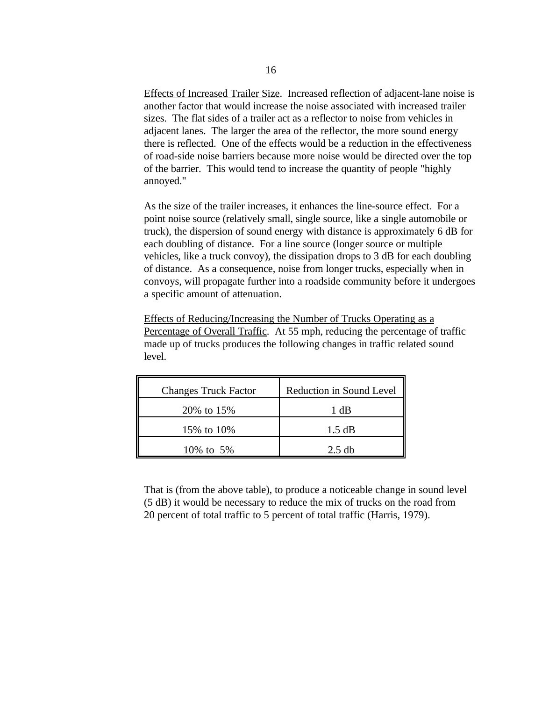Effects of Increased Trailer Size. Increased reflection of adjacent-lane noise is another factor that would increase the noise associated with increased trailer sizes. The flat sides of a trailer act as a reflector to noise from vehicles in adjacent lanes. The larger the area of the reflector, the more sound energy there is reflected. One of the effects would be a reduction in the effectiveness of road-side noise barriers because more noise would be directed over the top of the barrier. This would tend to increase the quantity of people "highly annoyed."

As the size of the trailer increases, it enhances the line-source effect. For a point noise source (relatively small, single source, like a single automobile or truck), the dispersion of sound energy with distance is approximately 6 dB for each doubling of distance. For a line source (longer source or multiple vehicles, like a truck convoy), the dissipation drops to 3 dB for each doubling of distance. As a consequence, noise from longer trucks, especially when in convoys, will propagate further into a roadside community before it undergoes a specific amount of attenuation.

Effects of Reducing/Increasing the Number of Trucks Operating as a Percentage of Overall Traffic. At 55 mph, reducing the percentage of traffic made up of trucks produces the following changes in traffic related sound level.

| <b>Changes Truck Factor</b> | Reduction in Sound Level |
|-----------------------------|--------------------------|
| 20% to 15%                  | 1 dB                     |
| 15% to 10%                  | 1.5 dB                   |
| 10% to 5%                   | $2.5$ db                 |

That is (from the above table), to produce a noticeable change in sound level (5 dB) it would be necessary to reduce the mix of trucks on the road from 20 percent of total traffic to 5 percent of total traffic (Harris, 1979).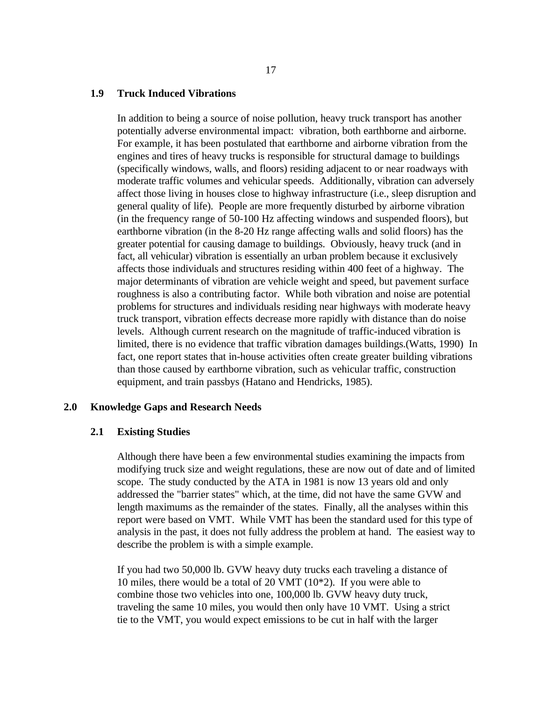#### **1.9 Truck Induced Vibrations**

In addition to being a source of noise pollution, heavy truck transport has another potentially adverse environmental impact: vibration, both earthborne and airborne. For example, it has been postulated that earthborne and airborne vibration from the engines and tires of heavy trucks is responsible for structural damage to buildings (specifically windows, walls, and floors) residing adjacent to or near roadways with moderate traffic volumes and vehicular speeds. Additionally, vibration can adversely affect those living in houses close to highway infrastructure (i.e., sleep disruption and general quality of life). People are more frequently disturbed by airborne vibration (in the frequency range of 50-100 Hz affecting windows and suspended floors), but earthborne vibration (in the 8-20 Hz range affecting walls and solid floors) has the greater potential for causing damage to buildings. Obviously, heavy truck (and in fact, all vehicular) vibration is essentially an urban problem because it exclusively affects those individuals and structures residing within 400 feet of a highway. The major determinants of vibration are vehicle weight and speed, but pavement surface roughness is also a contributing factor. While both vibration and noise are potential problems for structures and individuals residing near highways with moderate heavy truck transport, vibration effects decrease more rapidly with distance than do noise levels. Although current research on the magnitude of traffic-induced vibration is limited, there is no evidence that traffic vibration damages buildings.(Watts, 1990) In fact, one report states that in-house activities often create greater building vibrations than those caused by earthborne vibration, such as vehicular traffic, construction equipment, and train passbys (Hatano and Hendricks, 1985).

#### **2.0 Knowledge Gaps and Research Needs**

#### **2.1 Existing Studies**

Although there have been a few environmental studies examining the impacts from modifying truck size and weight regulations, these are now out of date and of limited scope. The study conducted by the ATA in 1981 is now 13 years old and only addressed the "barrier states" which, at the time, did not have the same GVW and length maximums as the remainder of the states. Finally, all the analyses within this report were based on VMT. While VMT has been the standard used for this type of analysis in the past, it does not fully address the problem at hand. The easiest way to describe the problem is with a simple example.

If you had two 50,000 lb. GVW heavy duty trucks each traveling a distance of 10 miles, there would be a total of 20 VMT (10\*2). If you were able to combine those two vehicles into one, 100,000 lb. GVW heavy duty truck, traveling the same 10 miles, you would then only have 10 VMT. Using a strict tie to the VMT, you would expect emissions to be cut in half with the larger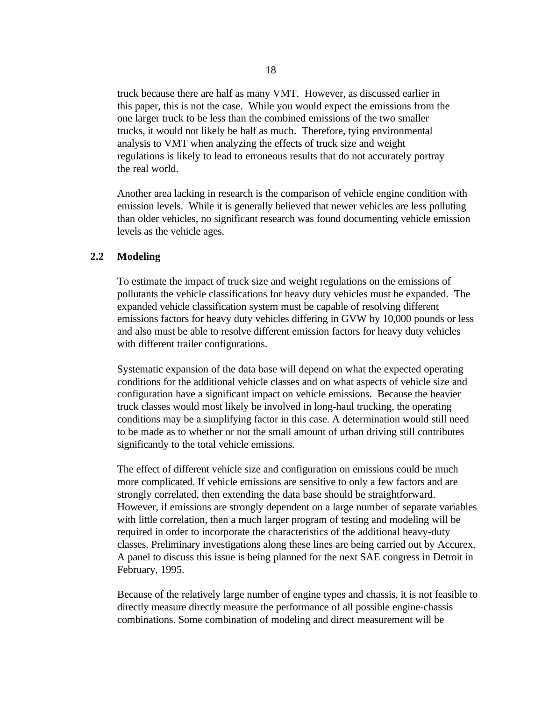truck because there are half as many VMT. However, as discussed earlier in this paper, this is not the case. While you would expect the emissions from the one larger truck to be less than the combined emissions of the two smaller trucks, it would not likely be half as much. Therefore, tying environmental analysis to VMT when analyzing the effects of truck size and weight regulations is likely to lead to erroneous results that do not accurately portray the real world.

Another area lacking in research is the comparison of vehicle engine condition with emission levels. While it is generally believed that newer vehicles are less polluting than older vehicles, no significant research was found documenting vehicle emission levels as the vehicle ages.

#### **2.2 Modeling**

To estimate the impact of truck size and weight regulations on the emissions of pollutants the vehicle classifications for heavy duty vehicles must be expanded. The expanded vehicle classification system must be capable of resolving different emissions factors for heavy duty vehicles differing in GVW by 10,000 pounds or less and also must be able to resolve different emission factors for heavy duty vehicles with different trailer configurations.

Systematic expansion of the data base will depend on what the expected operating conditions for the additional vehicle classes and on what aspects of vehicle size and configuration have a significant impact on vehicle emissions. Because the heavier truck classes would most likely be involved in long-haul trucking, the operating conditions may be a simplifying factor in this case. A determination would still need to be made as to whether or not the small amount of urban driving still contributes significantly to the total vehicle emissions.

The effect of different vehicle size and configuration on emissions could be much more complicated. If vehicle emissions are sensitive to only a few factors and are strongly correlated, then extending the data base should be straightforward. However, if emissions are strongly dependent on a large number of separate variables with little correlation, then a much larger program of testing and modeling will be required in order to incorporate the characteristics of the additional heavy-duty classes. Preliminary investigations along these lines are being carried out by Accurex. A panel to discuss this issue is being planned for the next SAE congress in Detroit in February, 1995.

Because of the relatively large number of engine types and chassis, it is not feasible to directly measure directly measure the performance of all possible engine-chassis combinations. Some combination of modeling and direct measurement will be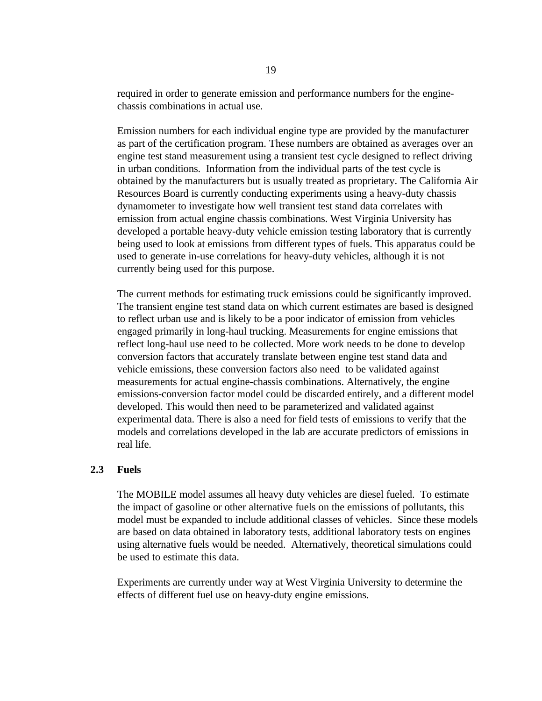required in order to generate emission and performance numbers for the enginechassis combinations in actual use.

Emission numbers for each individual engine type are provided by the manufacturer as part of the certification program. These numbers are obtained as averages over an engine test stand measurement using a transient test cycle designed to reflect driving in urban conditions. Information from the individual parts of the test cycle is obtained by the manufacturers but is usually treated as proprietary. The California Air Resources Board is currently conducting experiments using a heavy-duty chassis dynamometer to investigate how well transient test stand data correlates with emission from actual engine chassis combinations. West Virginia University has developed a portable heavy-duty vehicle emission testing laboratory that is currently being used to look at emissions from different types of fuels. This apparatus could be used to generate in-use correlations for heavy-duty vehicles, although it is not currently being used for this purpose.

The current methods for estimating truck emissions could be significantly improved. The transient engine test stand data on which current estimates are based is designed to reflect urban use and is likely to be a poor indicator of emission from vehicles engaged primarily in long-haul trucking. Measurements for engine emissions that reflect long-haul use need to be collected. More work needs to be done to develop conversion factors that accurately translate between engine test stand data and vehicle emissions, these conversion factors also need to be validated against measurements for actual engine-chassis combinations. Alternatively, the engine emissions-conversion factor model could be discarded entirely, and a different model developed. This would then need to be parameterized and validated against experimental data. There is also a need for field tests of emissions to verify that the models and correlations developed in the lab are accurate predictors of emissions in real life.

#### **2.3 Fuels**

The MOBILE model assumes all heavy duty vehicles are diesel fueled. To estimate the impact of gasoline or other alternative fuels on the emissions of pollutants, this model must be expanded to include additional classes of vehicles. Since these models are based on data obtained in laboratory tests, additional laboratory tests on engines using alternative fuels would be needed. Alternatively, theoretical simulations could be used to estimate this data.

Experiments are currently under way at West Virginia University to determine the effects of different fuel use on heavy-duty engine emissions.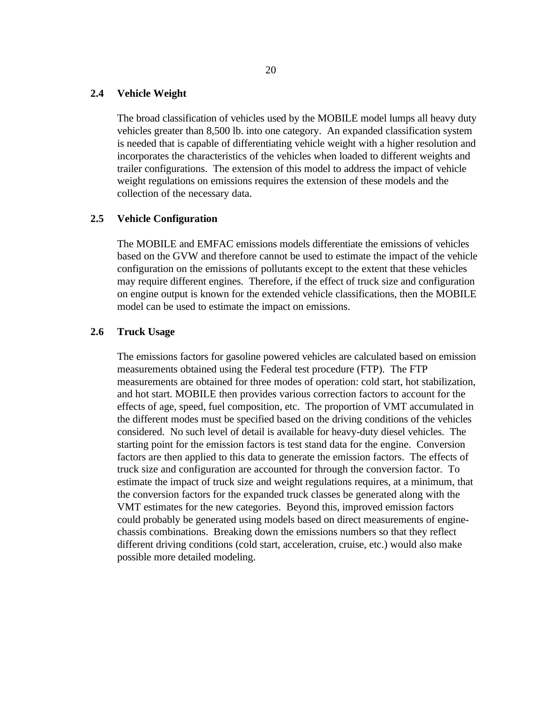#### **2.4 Vehicle Weight**

The broad classification of vehicles used by the MOBILE model lumps all heavy duty vehicles greater than 8,500 lb. into one category. An expanded classification system is needed that is capable of differentiating vehicle weight with a higher resolution and incorporates the characteristics of the vehicles when loaded to different weights and trailer configurations. The extension of this model to address the impact of vehicle weight regulations on emissions requires the extension of these models and the collection of the necessary data.

## **2.5 Vehicle Configuration**

The MOBILE and EMFAC emissions models differentiate the emissions of vehicles based on the GVW and therefore cannot be used to estimate the impact of the vehicle configuration on the emissions of pollutants except to the extent that these vehicles may require different engines. Therefore, if the effect of truck size and configuration on engine output is known for the extended vehicle classifications, then the MOBILE model can be used to estimate the impact on emissions.

## **2.6 Truck Usage**

The emissions factors for gasoline powered vehicles are calculated based on emission measurements obtained using the Federal test procedure (FTP). The FTP measurements are obtained for three modes of operation: cold start, hot stabilization, and hot start. MOBILE then provides various correction factors to account for the effects of age, speed, fuel composition, etc. The proportion of VMT accumulated in the different modes must be specified based on the driving conditions of the vehicles considered. No such level of detail is available for heavy-duty diesel vehicles. The starting point for the emission factors is test stand data for the engine. Conversion factors are then applied to this data to generate the emission factors. The effects of truck size and configuration are accounted for through the conversion factor. To estimate the impact of truck size and weight regulations requires, at a minimum, that the conversion factors for the expanded truck classes be generated along with the VMT estimates for the new categories. Beyond this, improved emission factors could probably be generated using models based on direct measurements of enginechassis combinations. Breaking down the emissions numbers so that they reflect different driving conditions (cold start, acceleration, cruise, etc.) would also make possible more detailed modeling.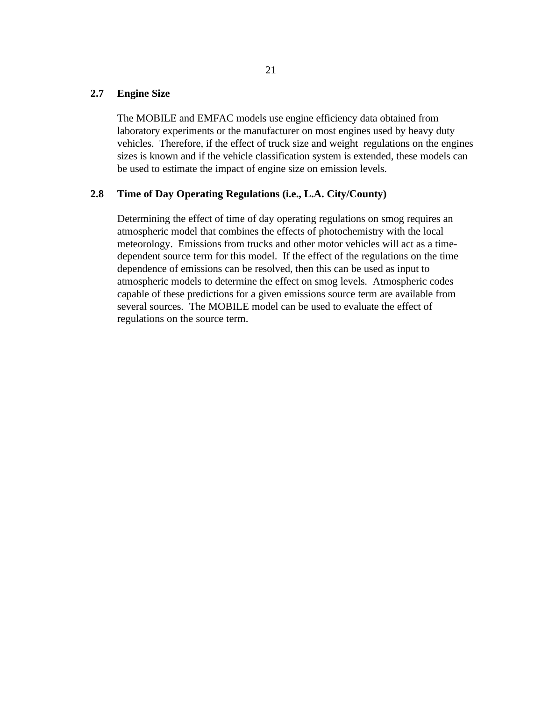## **2.7 Engine Size**

The MOBILE and EMFAC models use engine efficiency data obtained from laboratory experiments or the manufacturer on most engines used by heavy duty vehicles. Therefore, if the effect of truck size and weight regulations on the engines sizes is known and if the vehicle classification system is extended, these models can be used to estimate the impact of engine size on emission levels.

### **2.8 Time of Day Operating Regulations (i.e., L.A. City/County)**

Determining the effect of time of day operating regulations on smog requires an atmospheric model that combines the effects of photochemistry with the local meteorology. Emissions from trucks and other motor vehicles will act as a timedependent source term for this model. If the effect of the regulations on the time dependence of emissions can be resolved, then this can be used as input to atmospheric models to determine the effect on smog levels. Atmospheric codes capable of these predictions for a given emissions source term are available from several sources. The MOBILE model can be used to evaluate the effect of regulations on the source term.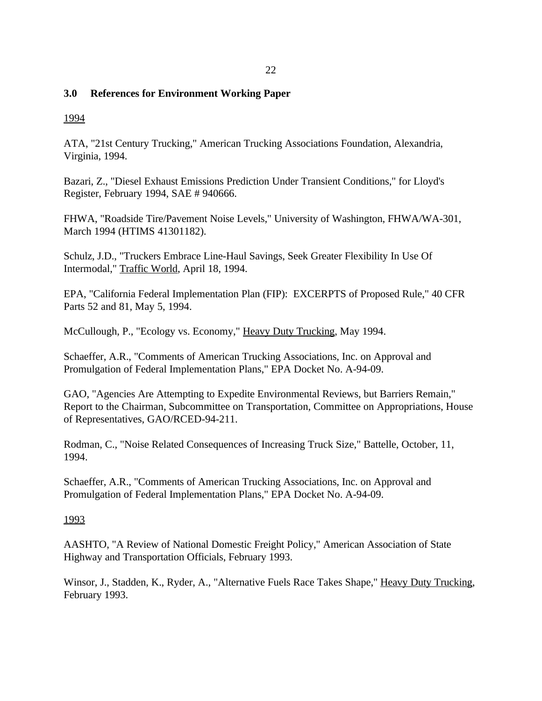## 22

# **3.0 References for Environment Working Paper**

1994

ATA, "21st Century Trucking," American Trucking Associations Foundation, Alexandria, Virginia, 1994.

Bazari, Z., "Diesel Exhaust Emissions Prediction Under Transient Conditions," for Lloyd's Register, February 1994, SAE # 940666.

FHWA, "Roadside Tire/Pavement Noise Levels," University of Washington, FHWA/WA-301, March 1994 (HTIMS 41301182).

Schulz, J.D., "Truckers Embrace Line-Haul Savings, Seek Greater Flexibility In Use Of Intermodal," Traffic World, April 18, 1994.

EPA, "California Federal Implementation Plan (FIP): EXCERPTS of Proposed Rule," 40 CFR Parts 52 and 81, May 5, 1994.

McCullough, P., "Ecology vs. Economy," Heavy Duty Trucking, May 1994.

Schaeffer, A.R., "Comments of American Trucking Associations, Inc. on Approval and Promulgation of Federal Implementation Plans," EPA Docket No. A-94-09.

GAO, "Agencies Are Attempting to Expedite Environmental Reviews, but Barriers Remain," Report to the Chairman, Subcommittee on Transportation, Committee on Appropriations, House of Representatives, GAO/RCED-94-211.

Rodman, C., "Noise Related Consequences of Increasing Truck Size," Battelle, October, 11, 1994.

Schaeffer, A.R., "Comments of American Trucking Associations, Inc. on Approval and Promulgation of Federal Implementation Plans," EPA Docket No. A-94-09.

# 1993

AASHTO, "A Review of National Domestic Freight Policy," American Association of State Highway and Transportation Officials, February 1993.

Winsor, J., Stadden, K., Ryder, A., "Alternative Fuels Race Takes Shape," Heavy Duty Trucking, February 1993.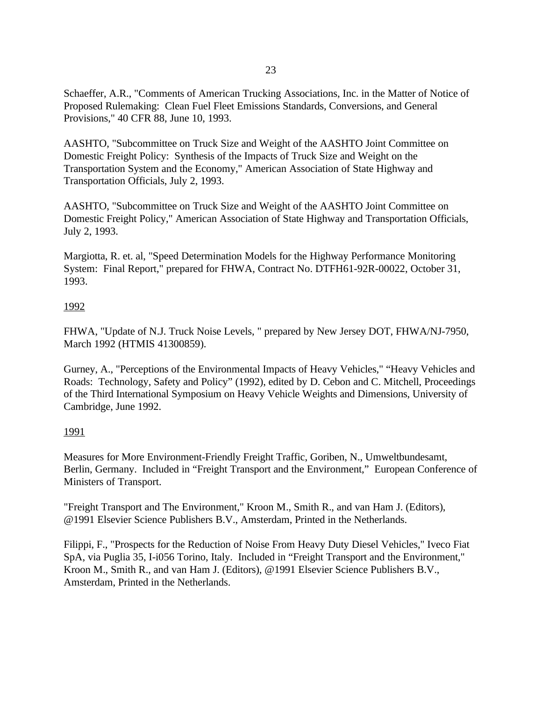Schaeffer, A.R., "Comments of American Trucking Associations, Inc. in the Matter of Notice of Proposed Rulemaking: Clean Fuel Fleet Emissions Standards, Conversions, and General Provisions," 40 CFR 88, June 10, 1993.

AASHTO, "Subcommittee on Truck Size and Weight of the AASHTO Joint Committee on Domestic Freight Policy: Synthesis of the Impacts of Truck Size and Weight on the Transportation System and the Economy," American Association of State Highway and Transportation Officials, July 2, 1993.

AASHTO, "Subcommittee on Truck Size and Weight of the AASHTO Joint Committee on Domestic Freight Policy," American Association of State Highway and Transportation Officials, July 2, 1993.

Margiotta, R. et. al, "Speed Determination Models for the Highway Performance Monitoring System: Final Report," prepared for FHWA, Contract No. DTFH61-92R-00022, October 31, 1993.

# 1992

FHWA, "Update of N.J. Truck Noise Levels, " prepared by New Jersey DOT, FHWA/NJ-7950, March 1992 (HTMIS 41300859).

Gurney, A., "Perceptions of the Environmental Impacts of Heavy Vehicles," "Heavy Vehicles and Roads: Technology, Safety and Policy" (1992), edited by D. Cebon and C. Mitchell, Proceedings of the Third International Symposium on Heavy Vehicle Weights and Dimensions, University of Cambridge, June 1992.

# 1991

Measures for More Environment-Friendly Freight Traffic, Goriben, N., Umweltbundesamt, Berlin, Germany. Included in "Freight Transport and the Environment," European Conference of Ministers of Transport.

"Freight Transport and The Environment," Kroon M., Smith R., and van Ham J. (Editors), @1991 Elsevier Science Publishers B.V., Amsterdam, Printed in the Netherlands.

Filippi, F., "Prospects for the Reduction of Noise From Heavy Duty Diesel Vehicles," Iveco Fiat SpA, via Puglia 35, I-i056 Torino, Italy. Included in "Freight Transport and the Environment," Kroon M., Smith R., and van Ham J. (Editors), @1991 Elsevier Science Publishers B.V., Amsterdam, Printed in the Netherlands.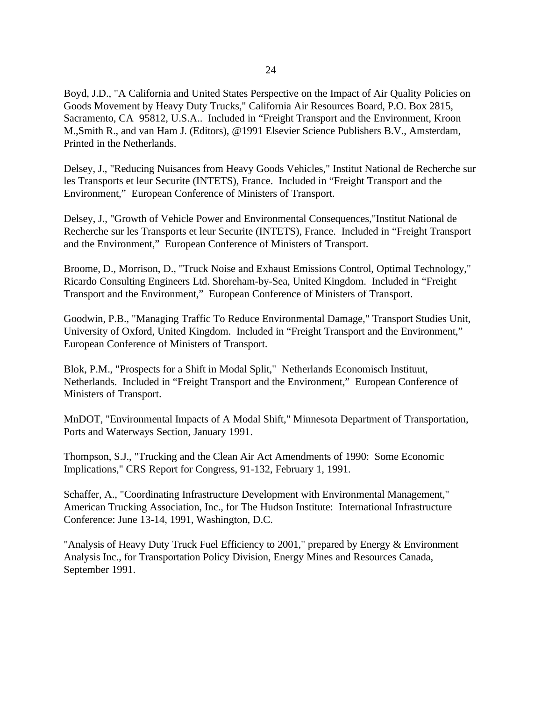Boyd, J.D., "A California and United States Perspective on the Impact of Air Quality Policies on Goods Movement by Heavy Duty Trucks," California Air Resources Board, P.O. Box 2815, Sacramento, CA 95812, U.S.A.. Included in "Freight Transport and the Environment, Kroon M.,Smith R., and van Ham J. (Editors), @1991 Elsevier Science Publishers B.V., Amsterdam, Printed in the Netherlands.

Delsey, J., "Reducing Nuisances from Heavy Goods Vehicles," Institut National de Recherche sur les Transports et leur Securite (INTETS), France. Included in "Freight Transport and the Environment," European Conference of Ministers of Transport.

Delsey, J., "Growth of Vehicle Power and Environmental Consequences,"Institut National de Recherche sur les Transports et leur Securite (INTETS), France. Included in "Freight Transport and the Environment," European Conference of Ministers of Transport.

Broome, D., Morrison, D., "Truck Noise and Exhaust Emissions Control, Optimal Technology," Ricardo Consulting Engineers Ltd. Shoreham-by-Sea, United Kingdom. Included in "Freight Transport and the Environment," European Conference of Ministers of Transport.

Goodwin, P.B., "Managing Traffic To Reduce Environmental Damage," Transport Studies Unit, University of Oxford, United Kingdom. Included in "Freight Transport and the Environment," European Conference of Ministers of Transport.

Blok, P.M., "Prospects for a Shift in Modal Split," Netherlands Economisch Instituut, Netherlands. Included in "Freight Transport and the Environment," European Conference of Ministers of Transport.

MnDOT, "Environmental Impacts of A Modal Shift," Minnesota Department of Transportation, Ports and Waterways Section, January 1991.

Thompson, S.J., "Trucking and the Clean Air Act Amendments of 1990: Some Economic Implications," CRS Report for Congress, 91-132, February 1, 1991.

Schaffer, A., "Coordinating Infrastructure Development with Environmental Management," American Trucking Association, Inc., for The Hudson Institute: International Infrastructure Conference: June 13-14, 1991, Washington, D.C.

"Analysis of Heavy Duty Truck Fuel Efficiency to 2001," prepared by Energy & Environment Analysis Inc., for Transportation Policy Division, Energy Mines and Resources Canada, September 1991.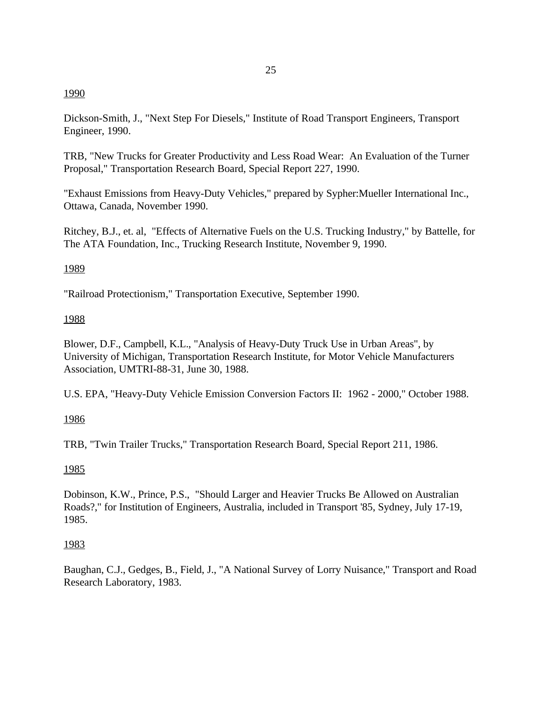# 1990

Dickson-Smith, J., "Next Step For Diesels," Institute of Road Transport Engineers, Transport Engineer, 1990.

TRB, "New Trucks for Greater Productivity and Less Road Wear: An Evaluation of the Turner Proposal," Transportation Research Board, Special Report 227, 1990.

"Exhaust Emissions from Heavy-Duty Vehicles," prepared by Sypher:Mueller International Inc., Ottawa, Canada, November 1990.

Ritchey, B.J., et. al, "Effects of Alternative Fuels on the U.S. Trucking Industry," by Battelle, for The ATA Foundation, Inc., Trucking Research Institute, November 9, 1990.

## 1989

"Railroad Protectionism," Transportation Executive, September 1990.

## 1988

Blower, D.F., Campbell, K.L., "Analysis of Heavy-Duty Truck Use in Urban Areas", by University of Michigan, Transportation Research Institute, for Motor Vehicle Manufacturers Association, UMTRI-88-31, June 30, 1988.

U.S. EPA, "Heavy-Duty Vehicle Emission Conversion Factors II: 1962 - 2000," October 1988.

# 1986

TRB, "Twin Trailer Trucks," Transportation Research Board, Special Report 211, 1986.

# 1985

Dobinson, K.W., Prince, P.S., "Should Larger and Heavier Trucks Be Allowed on Australian Roads?," for Institution of Engineers, Australia, included in Transport '85, Sydney, July 17-19, 1985.

# 1983

Baughan, C.J., Gedges, B., Field, J., "A National Survey of Lorry Nuisance," Transport and Road Research Laboratory, 1983.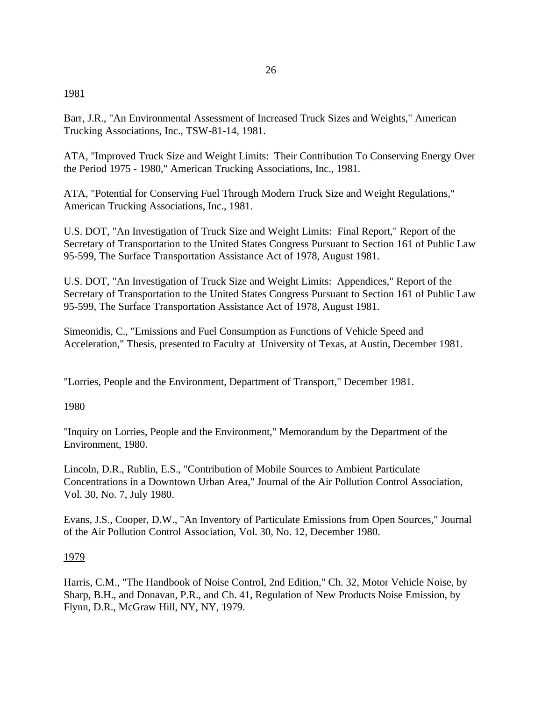## 1981

Barr, J.R., "An Environmental Assessment of Increased Truck Sizes and Weights," American Trucking Associations, Inc., TSW-81-14, 1981.

ATA, "Improved Truck Size and Weight Limits: Their Contribution To Conserving Energy Over the Period 1975 - 1980," American Trucking Associations, Inc., 1981.

ATA, "Potential for Conserving Fuel Through Modern Truck Size and Weight Regulations," American Trucking Associations, Inc., 1981.

U.S. DOT, "An Investigation of Truck Size and Weight Limits: Final Report," Report of the Secretary of Transportation to the United States Congress Pursuant to Section 161 of Public Law 95-599, The Surface Transportation Assistance Act of 1978, August 1981.

U.S. DOT, "An Investigation of Truck Size and Weight Limits: Appendices," Report of the Secretary of Transportation to the United States Congress Pursuant to Section 161 of Public Law 95-599, The Surface Transportation Assistance Act of 1978, August 1981.

Simeonidis, C., "Emissions and Fuel Consumption as Functions of Vehicle Speed and Acceleration," Thesis, presented to Faculty at University of Texas, at Austin, December 1981.

"Lorries, People and the Environment, Department of Transport," December 1981.

# 1980

"Inquiry on Lorries, People and the Environment," Memorandum by the Department of the Environment, 1980.

Lincoln, D.R., Rublin, E.S., "Contribution of Mobile Sources to Ambient Particulate Concentrations in a Downtown Urban Area," Journal of the Air Pollution Control Association, Vol. 30, No. 7, July 1980.

Evans, J.S., Cooper, D.W., "An Inventory of Particulate Emissions from Open Sources," Journal of the Air Pollution Control Association, Vol. 30, No. 12, December 1980.

# 1979

Harris, C.M., "The Handbook of Noise Control, 2nd Edition," Ch. 32, Motor Vehicle Noise, by Sharp, B.H., and Donavan, P.R., and Ch. 41, Regulation of New Products Noise Emission, by Flynn, D.R., McGraw Hill, NY, NY, 1979.